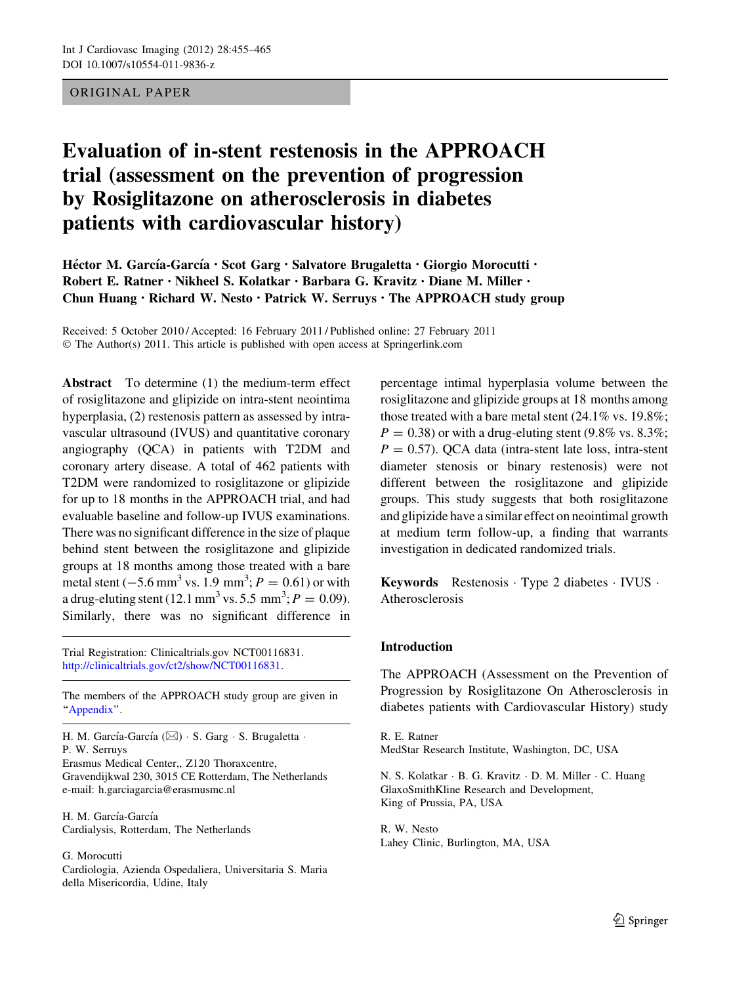# ORIGINAL PAPER

# Evaluation of in-stent restenosis in the APPROACH trial (assessment on the prevention of progression by Rosiglitazone on atherosclerosis in diabetes patients with cardiovascular history)

Héctor M. García-García • Scot Garg • Salvatore Brugaletta • Giorgio Morocutti • Robert E. Ratner • Nikheel S. Kolatkar • Barbara G. Kravitz • Diane M. Miller • Chun Huang • Richard W. Nesto • Patrick W. Serruys • The APPROACH study group

Received: 5 October 2010 / Accepted: 16 February 2011 / Published online: 27 February 2011 © The Author(s) 2011. This article is published with open access at Springerlink.com

Abstract To determine (1) the medium-term effect of rosiglitazone and glipizide on intra-stent neointima hyperplasia, (2) restenosis pattern as assessed by intravascular ultrasound (IVUS) and quantitative coronary angiography (QCA) in patients with T2DM and coronary artery disease. A total of 462 patients with T2DM were randomized to rosiglitazone or glipizide for up to 18 months in the APPROACH trial, and had evaluable baseline and follow-up IVUS examinations. There was no significant difference in the size of plaque behind stent between the rosiglitazone and glipizide groups at 18 months among those treated with a bare metal stent  $(-5.6 \text{ mm}^3 \text{ vs. } 1.9 \text{ mm}^3; P = 0.61)$  or with a drug-eluting stent (12.1 mm<sup>3</sup> vs. 5.5 mm<sup>3</sup>;  $P = 0.09$ ). Similarly, there was no significant difference in

Trial Registration: Clinicaltrials.gov NCT00116831. <http://clinicaltrials.gov/ct2/show/NCT00116831>.

The members of the APPROACH study group are given in '['Appendix'](#page-8-0)'.

H. M. García-García ( $\boxtimes$ ) · S. Garg · S. Brugaletta · P. W. Serruys

Erasmus Medical Center,, Z120 Thoraxcentre, Gravendijkwal 230, 3015 CE Rotterdam, The Netherlands e-mail: h.garciagarcia@erasmusmc.nl

H. M. García-García Cardialysis, Rotterdam, The Netherlands

#### G. Morocutti

Cardiologia, Azienda Ospedaliera, Universitaria S. Maria della Misericordia, Udine, Italy

percentage intimal hyperplasia volume between the rosiglitazone and glipizide groups at 18 months among those treated with a bare metal stent (24.1% vs. 19.8%;  $P = 0.38$ ) or with a drug-eluting stent (9.8% vs. 8.3%;  $P = 0.57$ ). QCA data (intra-stent late loss, intra-stent diameter stenosis or binary restenosis) were not different between the rosiglitazone and glipizide groups. This study suggests that both rosiglitazone and glipizide have a similar effect on neointimal growth at medium term follow-up, a finding that warrants investigation in dedicated randomized trials.

Keywords Restenosis - Type 2 diabetes - IVUS - Atherosclerosis

# Introduction

The APPROACH (Assessment on the Prevention of Progression by Rosiglitazone On Atherosclerosis in diabetes patients with Cardiovascular History) study

R. E. Ratner MedStar Research Institute, Washington, DC, USA

N. S. Kolatkar - B. G. Kravitz - D. M. Miller - C. Huang GlaxoSmithKline Research and Development, King of Prussia, PA, USA

R. W. Nesto Lahey Clinic, Burlington, MA, USA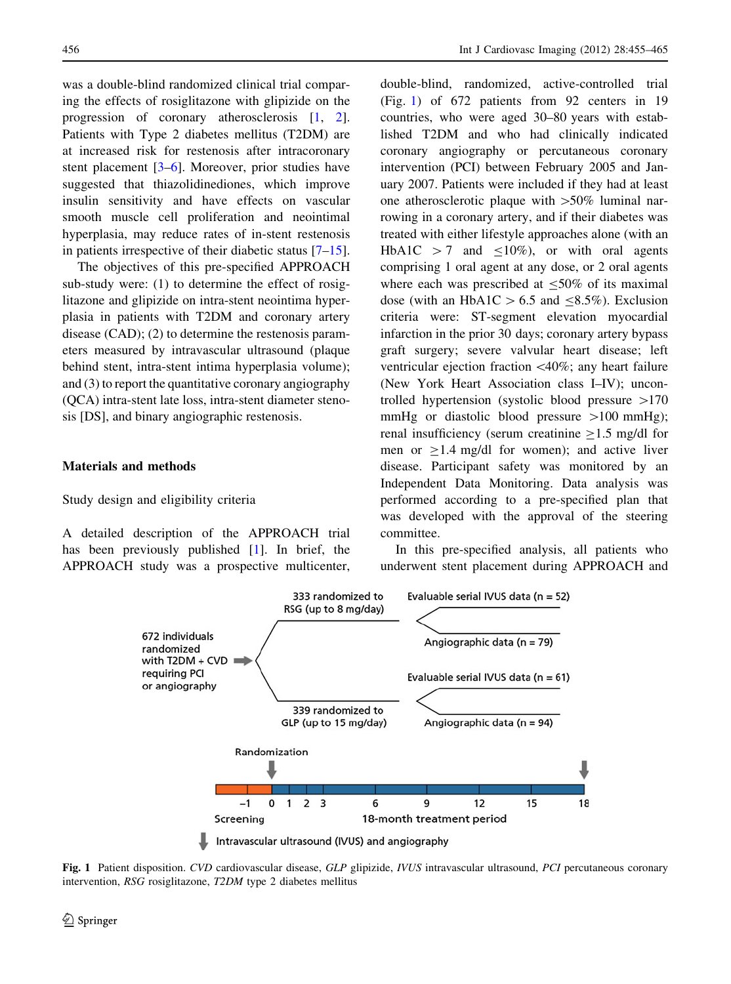<span id="page-1-0"></span>was a double-blind randomized clinical trial comparing the effects of rosiglitazone with glipizide on the progression of coronary atherosclerosis [\[1](#page-8-0), [2](#page-8-0)]. Patients with Type 2 diabetes mellitus (T2DM) are at increased risk for restenosis after intracoronary stent placement [\[3–6\]](#page-8-0). Moreover, prior studies have suggested that thiazolidinediones, which improve insulin sensitivity and have effects on vascular smooth muscle cell proliferation and neointimal hyperplasia, may reduce rates of in-stent restenosis in patients irrespective of their diabetic status  $[7-15]$  $[7-15]$ .

The objectives of this pre-specified APPROACH sub-study were: (1) to determine the effect of rosiglitazone and glipizide on intra-stent neointima hyperplasia in patients with T2DM and coronary artery disease (CAD); (2) to determine the restenosis parameters measured by intravascular ultrasound (plaque behind stent, intra-stent intima hyperplasia volume); and (3) to report the quantitative coronary angiography (QCA) intra-stent late loss, intra-stent diameter stenosis [DS], and binary angiographic restenosis.

## Materials and methods

### Study design and eligibility criteria

A detailed description of the APPROACH trial has been previously published [[1\]](#page-8-0). In brief, the APPROACH study was a prospective multicenter, double-blind, randomized, active-controlled trial (Fig. 1) of 672 patients from 92 centers in 19 countries, who were aged 30–80 years with established T2DM and who had clinically indicated coronary angiography or percutaneous coronary intervention (PCI) between February 2005 and January 2007. Patients were included if they had at least one atherosclerotic plaque with  $>50\%$  luminal narrowing in a coronary artery, and if their diabetes was treated with either lifestyle approaches alone (with an HbA1C  $> 7$  and  $\leq 10\%$ ), or with oral agents comprising 1 oral agent at any dose, or 2 oral agents where each was prescribed at  $<50\%$  of its maximal dose (with an HbA1C  $> 6.5$  and  $\leq 8.5\%$ ). Exclusion criteria were: ST-segment elevation myocardial infarction in the prior 30 days; coronary artery bypass graft surgery; severe valvular heart disease; left ventricular ejection fraction  $\langle 40\%;$  any heart failure (New York Heart Association class I–IV); uncontrolled hypertension (systolic blood pressure  $>170$ mmHg or diastolic blood pressure  $>100$  mmHg); renal insufficiency (serum creatinine  $>1.5$  mg/dl for men or  $\geq$ 1.4 mg/dl for women); and active liver disease. Participant safety was monitored by an Independent Data Monitoring. Data analysis was performed according to a pre-specified plan that was developed with the approval of the steering committee.

In this pre-specified analysis, all patients who underwent stent placement during APPROACH and



Fig. 1 Patient disposition. CVD cardiovascular disease, GLP glipizide, IVUS intravascular ultrasound, PCI percutaneous coronary intervention, RSG rosiglitazone, T2DM type 2 diabetes mellitus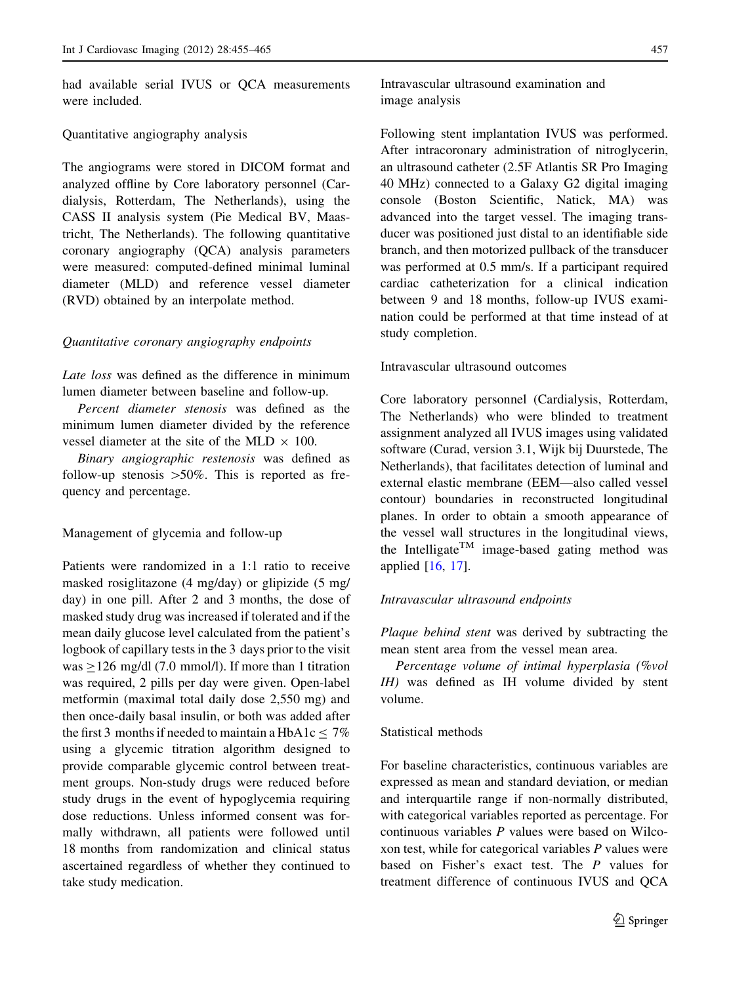had available serial IVUS or QCA measurements were included.

### Quantitative angiography analysis

The angiograms were stored in DICOM format and analyzed offline by Core laboratory personnel (Cardialysis, Rotterdam, The Netherlands), using the CASS II analysis system (Pie Medical BV, Maastricht, The Netherlands). The following quantitative coronary angiography (QCA) analysis parameters were measured: computed-defined minimal luminal diameter (MLD) and reference vessel diameter (RVD) obtained by an interpolate method.

### Quantitative coronary angiography endpoints

Late loss was defined as the difference in minimum lumen diameter between baseline and follow-up.

Percent diameter stenosis was defined as the minimum lumen diameter divided by the reference vessel diameter at the site of the MLD  $\times$  100.

Binary angiographic restenosis was defined as follow-up stenosis  $>50\%$ . This is reported as frequency and percentage.

Management of glycemia and follow-up

Patients were randomized in a 1:1 ratio to receive masked rosiglitazone (4 mg/day) or glipizide (5 mg/ day) in one pill. After 2 and 3 months, the dose of masked study drug was increased if tolerated and if the mean daily glucose level calculated from the patient's logbook of capillary tests in the 3 days prior to the visit was  $>126$  mg/dl (7.0 mmol/l). If more than 1 titration was required, 2 pills per day were given. Open-label metformin (maximal total daily dose 2,550 mg) and then once-daily basal insulin, or both was added after the first 3 months if needed to maintain a HbA1c  $<$  7% using a glycemic titration algorithm designed to provide comparable glycemic control between treatment groups. Non-study drugs were reduced before study drugs in the event of hypoglycemia requiring dose reductions. Unless informed consent was formally withdrawn, all patients were followed until 18 months from randomization and clinical status ascertained regardless of whether they continued to take study medication.

Following stent implantation IVUS was performed. After intracoronary administration of nitroglycerin, an ultrasound catheter (2.5F Atlantis SR Pro Imaging 40 MHz) connected to a Galaxy G2 digital imaging console (Boston Scientific, Natick, MA) was advanced into the target vessel. The imaging transducer was positioned just distal to an identifiable side branch, and then motorized pullback of the transducer was performed at 0.5 mm/s. If a participant required cardiac catheterization for a clinical indication between 9 and 18 months, follow-up IVUS examination could be performed at that time instead of at study completion.

#### Intravascular ultrasound outcomes

Core laboratory personnel (Cardialysis, Rotterdam, The Netherlands) who were blinded to treatment assignment analyzed all IVUS images using validated software (Curad, version 3.1, Wijk bij Duurstede, The Netherlands), that facilitates detection of luminal and external elastic membrane (EEM—also called vessel contour) boundaries in reconstructed longitudinal planes. In order to obtain a smooth appearance of the vessel wall structures in the longitudinal views, the Intelligate<sup>TM</sup> image-based gating method was applied [\[16](#page-9-0), [17\]](#page-9-0).

## Intravascular ultrasound endpoints

Plaque behind stent was derived by subtracting the mean stent area from the vessel mean area.

Percentage volume of intimal hyperplasia (%vol IH) was defined as IH volume divided by stent volume.

# Statistical methods

For baseline characteristics, continuous variables are expressed as mean and standard deviation, or median and interquartile range if non-normally distributed, with categorical variables reported as percentage. For continuous variables P values were based on Wilcoxon test, while for categorical variables P values were based on Fisher's exact test. The P values for treatment difference of continuous IVUS and QCA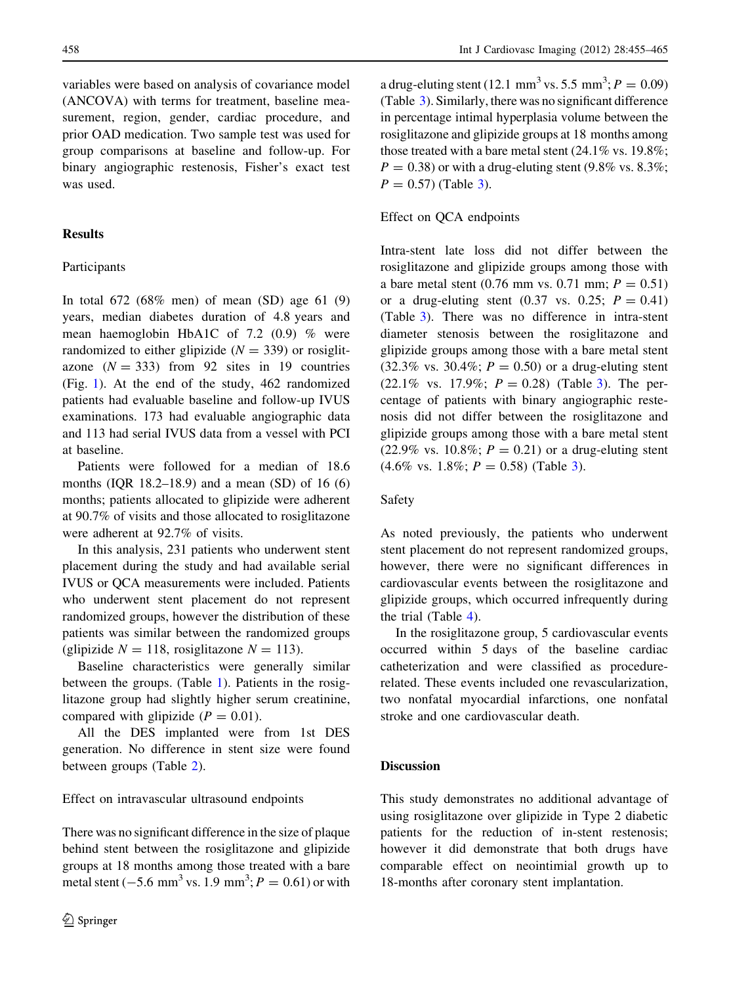variables were based on analysis of covariance model (ANCOVA) with terms for treatment, baseline measurement, region, gender, cardiac procedure, and prior OAD medication. Two sample test was used for group comparisons at baseline and follow-up. For binary angiographic restenosis, Fisher's exact test was used.

# Results

# Participants

In total 672 (68% men) of mean (SD) age 61 (9) years, median diabetes duration of 4.8 years and mean haemoglobin HbA1C of 7.2 (0.9) % were randomized to either glipizide  $(N = 339)$  or rosiglitazone  $(N = 333)$  from 92 sites in 19 countries (Fig. [1](#page-1-0)). At the end of the study, 462 randomized patients had evaluable baseline and follow-up IVUS examinations. 173 had evaluable angiographic data and 113 had serial IVUS data from a vessel with PCI at baseline.

Patients were followed for a median of 18.6 months (IQR 18.2–18.9) and a mean (SD) of 16 (6) months; patients allocated to glipizide were adherent at 90.7% of visits and those allocated to rosiglitazone were adherent at 92.7% of visits.

In this analysis, 231 patients who underwent stent placement during the study and had available serial IVUS or QCA measurements were included. Patients who underwent stent placement do not represent randomized groups, however the distribution of these patients was similar between the randomized groups (glipizide  $N = 118$ , rosiglitazone  $N = 113$ ).

Baseline characteristics were generally similar between the groups. (Table [1](#page-4-0)). Patients in the rosiglitazone group had slightly higher serum creatinine, compared with glipizide  $(P = 0.01)$ .

All the DES implanted were from 1st DES generation. No difference in stent size were found between groups (Table [2](#page-5-0)).

Effect on intravascular ultrasound endpoints

There was no significant difference in the size of plaque behind stent between the rosiglitazone and glipizide groups at 18 months among those treated with a bare metal stent  $(-5.6 \text{ mm}^3 \text{ vs. } 1.9 \text{ mm}^3; P = 0.61)$  or with

a drug-eluting stent (12.1 mm<sup>3</sup> vs. 5.5 mm<sup>3</sup>;  $P = 0.09$ ) (Table [3](#page-6-0)). Similarly, there was no significant difference in percentage intimal hyperplasia volume between the rosiglitazone and glipizide groups at 18 months among those treated with a bare metal stent (24.1% vs. 19.8%;  $P = 0.38$ ) or with a drug-eluting stent (9.8% vs. 8.3%;  $P = 0.57$ ) (Table [3\)](#page-6-0).

## Effect on QCA endpoints

Intra-stent late loss did not differ between the rosiglitazone and glipizide groups among those with a bare metal stent (0.76 mm vs. 0.71 mm;  $P = 0.51$ ) or a drug-eluting stent  $(0.37 \text{ vs. } 0.25; P = 0.41)$ (Table [3](#page-6-0)). There was no difference in intra-stent diameter stenosis between the rosiglitazone and glipizide groups among those with a bare metal stent  $(32.3\% \text{ vs. } 30.4\%; P = 0.50) \text{ or a drug-eluting stent}$  $(22.1\% \text{ vs. } 17.9\%; P = 0.28)$  (Table [3\)](#page-6-0). The percentage of patients with binary angiographic restenosis did not differ between the rosiglitazone and glipizide groups among those with a bare metal stent (22.9% vs. 10.8%;  $P = 0.21$ ) or a drug-eluting stent  $(4.6\% \text{ vs. } 1.8\%; P = 0.58)$  (Table [3](#page-6-0)).

## Safety

As noted previously, the patients who underwent stent placement do not represent randomized groups, however, there were no significant differences in cardiovascular events between the rosiglitazone and glipizide groups, which occurred infrequently during the trial (Table [4\)](#page-7-0).

In the rosiglitazone group, 5 cardiovascular events occurred within 5 days of the baseline cardiac catheterization and were classified as procedurerelated. These events included one revascularization, two nonfatal myocardial infarctions, one nonfatal stroke and one cardiovascular death.

# Discussion

This study demonstrates no additional advantage of using rosiglitazone over glipizide in Type 2 diabetic patients for the reduction of in-stent restenosis; however it did demonstrate that both drugs have comparable effect on neointimial growth up to 18-months after coronary stent implantation.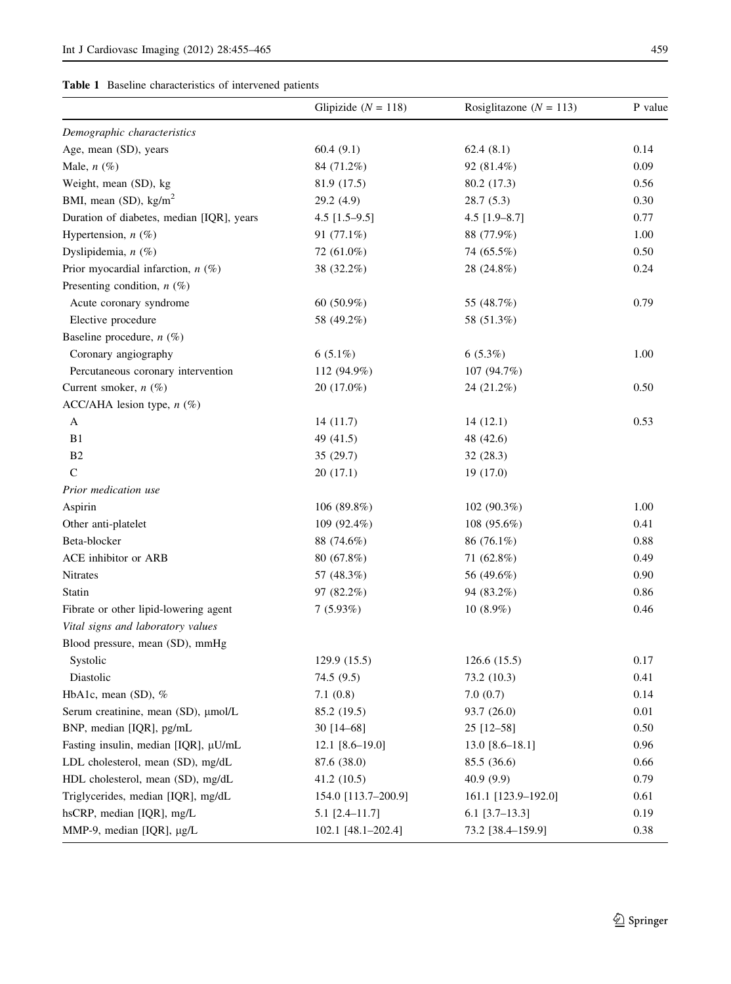<span id="page-4-0"></span>

| <b>Table 1</b> Baseline characteristics of intervened patients |
|----------------------------------------------------------------|
|----------------------------------------------------------------|

|                                           | Glipizide ( $N = 118$ ) | Rosiglitazone ( $N = 113$ ) | P value |
|-------------------------------------------|-------------------------|-----------------------------|---------|
| Demographic characteristics               |                         |                             |         |
| Age, mean (SD), years                     | 60.4(9.1)               | 62.4(8.1)                   | 0.14    |
| Male, $n$ $(\%)$                          | 84 (71.2%)              | 92 (81.4%)                  | 0.09    |
| Weight, mean (SD), kg                     | 81.9 (17.5)             | 80.2 (17.3)                 | 0.56    |
| BMI, mean (SD), kg/m <sup>2</sup>         | 29.2 (4.9)              | 28.7(5.3)                   | 0.30    |
| Duration of diabetes, median [IQR], years | $4.5$ [1.5–9.5]         | $4.5$ [1.9-8.7]             | 0.77    |
| Hypertension, $n$ (%)                     | 91 (77.1%)              | 88 (77.9%)                  | 1.00    |
| Dyslipidemia, $n$ (%)                     | 72 (61.0%)              | 74 (65.5%)                  | 0.50    |
| Prior myocardial infarction, $n$ (%)      | 38 (32.2%)              | 28 (24.8%)                  | 0.24    |
| Presenting condition, $n$ (%)             |                         |                             |         |
| Acute coronary syndrome                   | 60 $(50.9\%)$           | 55 (48.7%)                  | 0.79    |
| Elective procedure                        | 58 (49.2%)              | 58 (51.3%)                  |         |
| Baseline procedure, $n$ (%)               |                         |                             |         |
| Coronary angiography                      | $6(5.1\%)$              | 6(5.3%)                     | 1.00    |
| Percutaneous coronary intervention        | 112 (94.9%)             | 107 (94.7%)                 |         |
| Current smoker, $n$ (%)                   | $20(17.0\%)$            | 24 (21.2%)                  | 0.50    |
| ACC/AHA lesion type, $n$ (%)              |                         |                             |         |
| A                                         | 14(11.7)                | 14(12.1)                    | 0.53    |
| B1                                        | 49 (41.5)               | 48 (42.6)                   |         |
| B <sub>2</sub>                            | 35(29.7)                | 32(28.3)                    |         |
| $\mathsf{C}$                              | 20(17.1)                | 19 (17.0)                   |         |
| Prior medication use                      |                         |                             |         |
| Aspirin                                   | 106 (89.8%)             | 102 (90.3%)                 | 1.00    |
| Other anti-platelet                       | 109 (92.4%)             | 108 (95.6%)                 | 0.41    |
| Beta-blocker                              | 88 (74.6%)              | 86 (76.1%)                  | 0.88    |
| ACE inhibitor or ARB                      | 80 (67.8%)              | 71 (62.8%)                  | 0.49    |
| Nitrates                                  | 57 (48.3%)              | 56 (49.6%)                  | 0.90    |
| Statin                                    | 97 (82.2%)              | 94 (83.2%)                  | 0.86    |
| Fibrate or other lipid-lowering agent     | 7(5.93%)                | $10(8.9\%)$                 | 0.46    |
| Vital signs and laboratory values         |                         |                             |         |
| Blood pressure, mean (SD), mmHg           |                         |                             |         |
| Systolic                                  | 129.9(15.5)             | 126.6(15.5)                 | 0.17    |
| Diastolic                                 | 74.5 (9.5)              | 73.2 (10.3)                 | 0.41    |
| HbA1c, mean $(SD)$ , %                    | 7.1(0.8)                | 7.0(0.7)                    | 0.14    |
| Serum creatinine, mean (SD), μmol/L       | 85.2 (19.5)             | 93.7 (26.0)                 | 0.01    |
| BNP, median [IQR], pg/mL                  | 30 [14-68]              | 25 [12-58]                  | 0.50    |
| Fasting insulin, median [IQR], µU/mL      | $12.1$ [8.6-19.0]       | $13.0$ [8.6–18.1]           | 0.96    |
| LDL cholesterol, mean (SD), mg/dL         | 87.6 (38.0)             | 85.5 (36.6)                 | 0.66    |
| HDL cholesterol, mean (SD), mg/dL         | 41.2(10.5)              | 40.9(9.9)                   | 0.79    |
| Triglycerides, median [IQR], mg/dL        | 154.0 [113.7-200.9]     | 161.1 [123.9-192.0]         | 0.61    |
| hsCRP, median [IQR], mg/L                 | $5.1$ [2.4-11.7]        | $6.1$ [3.7-13.3]            | 0.19    |
| MMP-9, median [IQR], µg/L                 | 102.1 [48.1-202.4]      | 73.2 [38.4-159.9]           | 0.38    |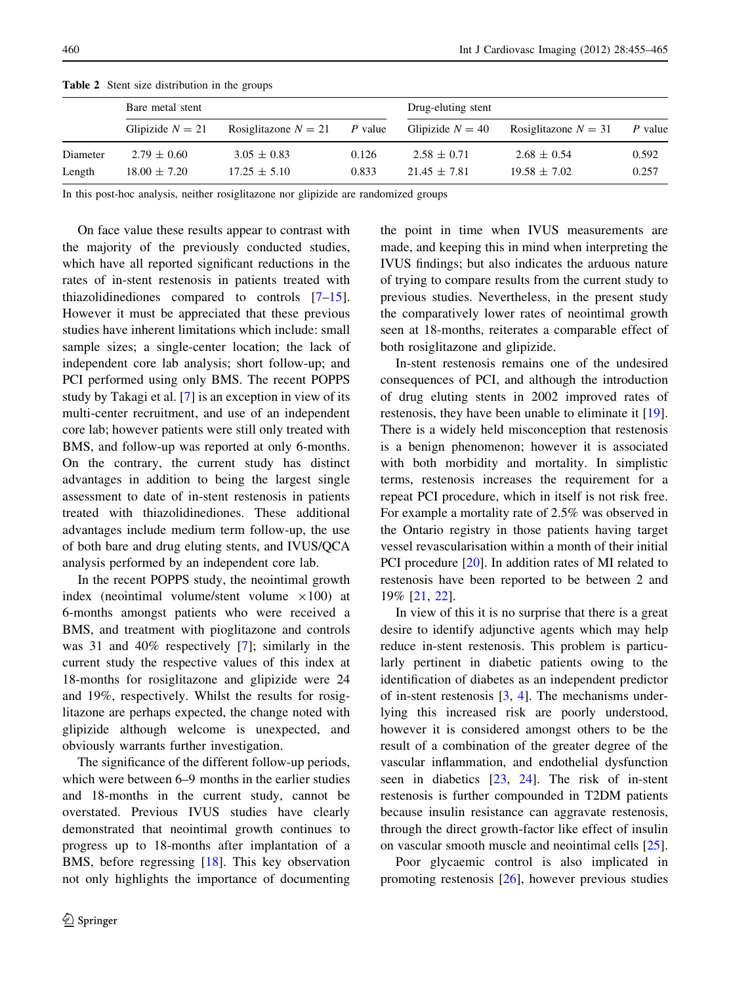|          | Bare metal stent   |                        |         | Drug-eluting stent |                        |         |  |  |
|----------|--------------------|------------------------|---------|--------------------|------------------------|---------|--|--|
|          | Glipizide $N = 21$ | Rosiglitazone $N = 21$ | P value | Glipizide $N = 40$ | Rosiglitazone $N = 31$ | P value |  |  |
| Diameter | $2.79 \pm 0.60$    | $3.05 \pm 0.83$        | 0.126   | $2.58 \pm 0.71$    | $2.68 \pm 0.54$        | 0.592   |  |  |
| Length   | $18.00 \pm 7.20$   | $17.25 \pm 5.10$       | 0.833   | $21.45 \pm 7.81$   | $19.58 \pm 7.02$       | 0.257   |  |  |

<span id="page-5-0"></span>Table 2 Stent size distribution in the groups

In this post-hoc analysis, neither rosiglitazone nor glipizide are randomized groups

On face value these results appear to contrast with the majority of the previously conducted studies, which have all reported significant reductions in the rates of in-stent restenosis in patients treated with thiazolidinediones compared to controls [\[7](#page-8-0)[–15](#page-9-0)]. However it must be appreciated that these previous studies have inherent limitations which include: small sample sizes; a single-center location; the lack of independent core lab analysis; short follow-up; and PCI performed using only BMS. The recent POPPS study by Takagi et al. [[7\]](#page-8-0) is an exception in view of its multi-center recruitment, and use of an independent core lab; however patients were still only treated with BMS, and follow-up was reported at only 6-months. On the contrary, the current study has distinct advantages in addition to being the largest single assessment to date of in-stent restenosis in patients treated with thiazolidinediones. These additional advantages include medium term follow-up, the use of both bare and drug eluting stents, and IVUS/QCA analysis performed by an independent core lab.

In the recent POPPS study, the neointimal growth index (neointimal volume/stent volume  $\times 100$ ) at 6-months amongst patients who were received a BMS, and treatment with pioglitazone and controls was 31 and 40% respectively [[7\]](#page-8-0); similarly in the current study the respective values of this index at 18-months for rosiglitazone and glipizide were 24 and 19%, respectively. Whilst the results for rosiglitazone are perhaps expected, the change noted with glipizide although welcome is unexpected, and obviously warrants further investigation.

The significance of the different follow-up periods, which were between 6–9 months in the earlier studies and 18-months in the current study, cannot be overstated. Previous IVUS studies have clearly demonstrated that neointimal growth continues to progress up to 18-months after implantation of a BMS, before regressing [[18\]](#page-9-0). This key observation not only highlights the importance of documenting the point in time when IVUS measurements are made, and keeping this in mind when interpreting the IVUS findings; but also indicates the arduous nature of trying to compare results from the current study to previous studies. Nevertheless, in the present study the comparatively lower rates of neointimal growth seen at 18-months, reiterates a comparable effect of both rosiglitazone and glipizide.

In-stent restenosis remains one of the undesired consequences of PCI, and although the introduction of drug eluting stents in 2002 improved rates of restenosis, they have been unable to eliminate it [\[19](#page-9-0)]. There is a widely held misconception that restenosis is a benign phenomenon; however it is associated with both morbidity and mortality. In simplistic terms, restenosis increases the requirement for a repeat PCI procedure, which in itself is not risk free. For example a mortality rate of 2.5% was observed in the Ontario registry in those patients having target vessel revascularisation within a month of their initial PCI procedure [\[20](#page-9-0)]. In addition rates of MI related to restenosis have been reported to be between 2 and 19% [[21,](#page-9-0) [22\]](#page-9-0).

In view of this it is no surprise that there is a great desire to identify adjunctive agents which may help reduce in-stent restenosis. This problem is particularly pertinent in diabetic patients owing to the identification of diabetes as an independent predictor of in-stent restenosis [[3,](#page-8-0) [4\]](#page-8-0). The mechanisms underlying this increased risk are poorly understood, however it is considered amongst others to be the result of a combination of the greater degree of the vascular inflammation, and endothelial dysfunction seen in diabetics [[23,](#page-9-0) [24\]](#page-9-0). The risk of in-stent restenosis is further compounded in T2DM patients because insulin resistance can aggravate restenosis, through the direct growth-factor like effect of insulin on vascular smooth muscle and neointimal cells [\[25](#page-9-0)].

Poor glycaemic control is also implicated in promoting restenosis [[26\]](#page-9-0), however previous studies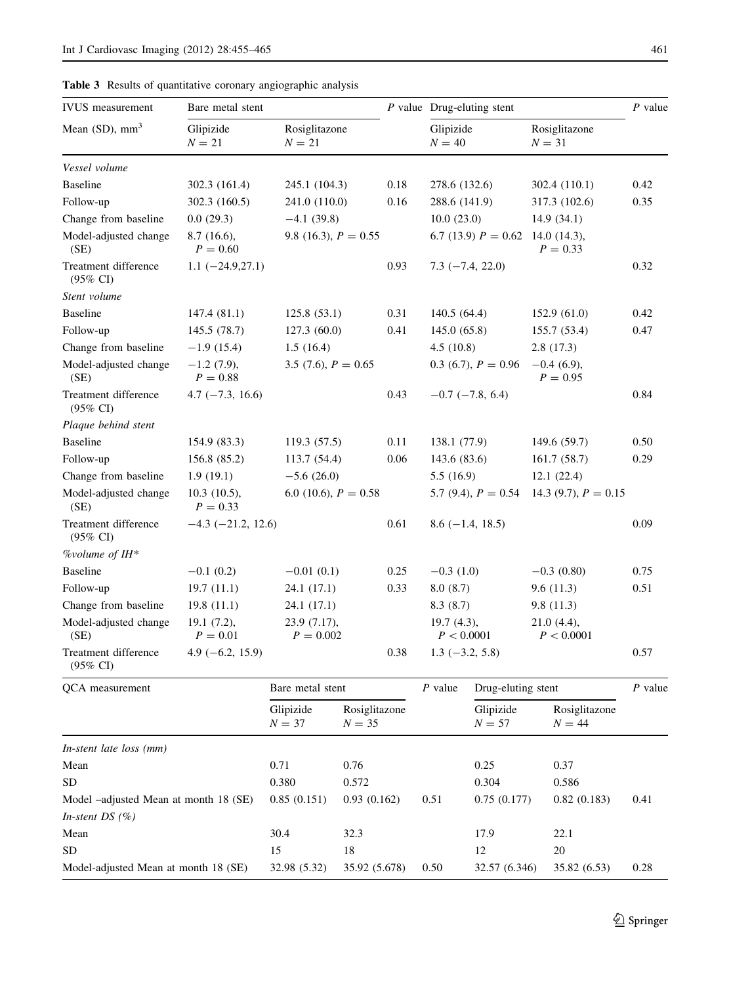| <b>IVUS</b> measurement                     | Bare metal stent                                   |                             |                           |      | $P$ value Drug-eluting stent       |                        |                             |                             | $P$ value |
|---------------------------------------------|----------------------------------------------------|-----------------------------|---------------------------|------|------------------------------------|------------------------|-----------------------------|-----------------------------|-----------|
| Mean $(SD)$ , mm <sup>3</sup>               | Glipizide<br>$N = 21$                              | Rosiglitazone<br>$N = 21$   |                           |      | Glipizide<br>$N = 40$              |                        | $N = 31$                    | Rosiglitazone               |           |
| Vessel volume                               |                                                    |                             |                           |      |                                    |                        |                             |                             |           |
| <b>Baseline</b>                             | 302.3 (161.4)                                      | 245.1 (104.3)               |                           | 0.18 | 278.6 (132.6)                      |                        |                             | 302.4 (110.1)               | 0.42      |
| Follow-up                                   | 302.3 (160.5)                                      | 241.0 (110.0)               |                           | 0.16 | 288.6 (141.9)                      |                        |                             | 317.3 (102.6)               | 0.35      |
| Change from baseline                        | 0.0(29.3)                                          | $-4.1(39.8)$                |                           |      | 10.0(23.0)                         |                        |                             | 14.9(34.1)                  |           |
| Model-adjusted change<br>(SE)               | 8.7(16.6),<br>9.8 (16.3), $P = 0.55$<br>$P = 0.60$ |                             |                           |      | 6.7 (13.9) $P = 0.62$ 14.0 (14.3), |                        |                             | $P = 0.33$                  |           |
| Treatment difference<br>(95% CI)            | $1.1 (-24.9, 27.1)$                                |                             |                           | 0.93 |                                    | $7.3(-7.4, 22.0)$      |                             |                             | 0.32      |
| Stent volume                                |                                                    |                             |                           |      |                                    |                        |                             |                             |           |
| Baseline                                    | 147.4 (81.1)                                       | 125.8(53.1)                 |                           | 0.31 | 140.5(64.4)                        |                        |                             | 152.9(61.0)                 | 0.42      |
| Follow-up                                   | 145.5 (78.7)                                       | 127.3 (60.0)                |                           | 0.41 | 145.0(65.8)                        |                        |                             | 155.7 (53.4)                | 0.47      |
| Change from baseline                        | $-1.9(15.4)$                                       | 1.5(16.4)                   |                           |      | 4.5(10.8)                          |                        |                             | 2.8(17.3)                   |           |
| Model-adjusted change<br>(SE)               | $-1.2$ (7.9),<br>$P = 0.88$                        | 3.5 (7.6), $P = 0.65$       |                           |      | $0.3$ (6.7), $P = 0.96$            |                        |                             | $-0.4$ (6.9),<br>$P = 0.95$ |           |
| Treatment difference<br>(95% CI)            | $4.7(-7.3, 16.6)$                                  |                             |                           | 0.43 |                                    | $-0.7$ ( $-7.8, 6.4$ ) |                             |                             | 0.84      |
| Plaque behind stent                         |                                                    |                             |                           |      |                                    |                        |                             |                             |           |
| Baseline                                    | 154.9 (83.3)                                       | 119.3(57.5)                 |                           | 0.11 | 138.1 (77.9)                       |                        |                             | 149.6 (59.7)                | 0.50      |
| Follow-up                                   | 156.8 (85.2)                                       | 113.7 (54.4)                |                           | 0.06 | 143.6 (83.6)                       |                        |                             | 161.7(58.7)                 | 0.29      |
| Change from baseline                        | 1.9(19.1)                                          | $-5.6(26.0)$                |                           |      | 5.5(16.9)                          |                        |                             | 12.1(22.4)                  |           |
| Model-adjusted change<br>(SE)               | $10.3(10.5)$ ,<br>$P = 0.33$                       | 6.0 (10.6), $P = 0.58$      |                           |      |                                    | 5.7 (9.4), $P = 0.54$  |                             | 14.3 (9.7), $P = 0.15$      |           |
| Treatment difference<br>$(95\% \text{ CI})$ | $-4.3$ ( $-21.2$ , 12.6)                           |                             |                           | 0.61 |                                    | $8.6(-1.4, 18.5)$      |                             |                             | 0.09      |
| %volume of $H^*$                            |                                                    |                             |                           |      |                                    |                        |                             |                             |           |
| <b>Baseline</b>                             | $-0.1(0.2)$                                        | $-0.01(0.1)$                |                           | 0.25 | $-0.3(1.0)$                        |                        |                             | $-0.3(0.80)$                | 0.75      |
| Follow-up                                   | 19.7(11.1)                                         | 24.1 (17.1)                 |                           | 0.33 | 8.0(8.7)                           |                        |                             | 9.6(11.3)                   | 0.51      |
| Change from baseline                        | 19.8(11.1)                                         | 24.1 (17.1)                 |                           |      | 8.3(8.7)                           |                        |                             | 9.8(11.3)                   |           |
| Model-adjusted change<br>(SE)               | $19.1(7.2)$ ,<br>$P = 0.01$                        | 23.9 (7.17),<br>$P = 0.002$ |                           |      | $19.7(4.3)$ ,<br>P < 0.0001        |                        | $21.0(4.4)$ ,<br>P < 0.0001 |                             |           |
| Treatment difference<br>$(95\% \text{ CI})$ | $4.9(-6.2, 15.9)$                                  |                             |                           | 0.38 | $1.3(-3.2, 5.8)$                   |                        |                             |                             | 0.57      |
| QCA measurement                             |                                                    | Bare metal stent            |                           |      | $P$ value                          | Drug-eluting stent     |                             |                             | $P$ value |
|                                             |                                                    | Glipizide<br>$N = 37$       | Rosiglitazone<br>$N = 35$ |      |                                    | Glipizide<br>$N = 57$  |                             | Rosiglitazone<br>$N = 44$   |           |
| In-stent late loss (mm)                     |                                                    |                             |                           |      |                                    |                        |                             |                             |           |
| Mean                                        |                                                    | 0.71                        | 0.76                      |      |                                    | 0.25                   |                             | 0.37                        |           |
| ${\rm SD}$                                  |                                                    | 0.380                       | 0.572                     |      |                                    | 0.304                  |                             | 0.586                       |           |
| Model -adjusted Mean at month 18 (SE)       |                                                    | 0.85(0.151)                 | 0.93(0.162)               |      | 0.51                               | 0.75(0.177)            |                             | 0.82(0.183)                 | 0.41      |
| In-stent DS $(\%)$                          |                                                    |                             |                           |      |                                    |                        |                             |                             |           |
| Mean                                        |                                                    | 30.4                        | 32.3                      |      |                                    | 17.9                   |                             | 22.1                        |           |
| ${\rm SD}$                                  |                                                    | 15                          | $18\,$                    |      |                                    | 12                     |                             | 20                          |           |
| Model-adjusted Mean at month 18 (SE)        |                                                    | 32.98 (5.32)                | 35.92 (5.678)             |      | 0.50                               | 32.57 (6.346)          |                             | 35.82 (6.53)                | 0.28      |

<span id="page-6-0"></span>Table 3 Results of quantitative coronary angiographic analysis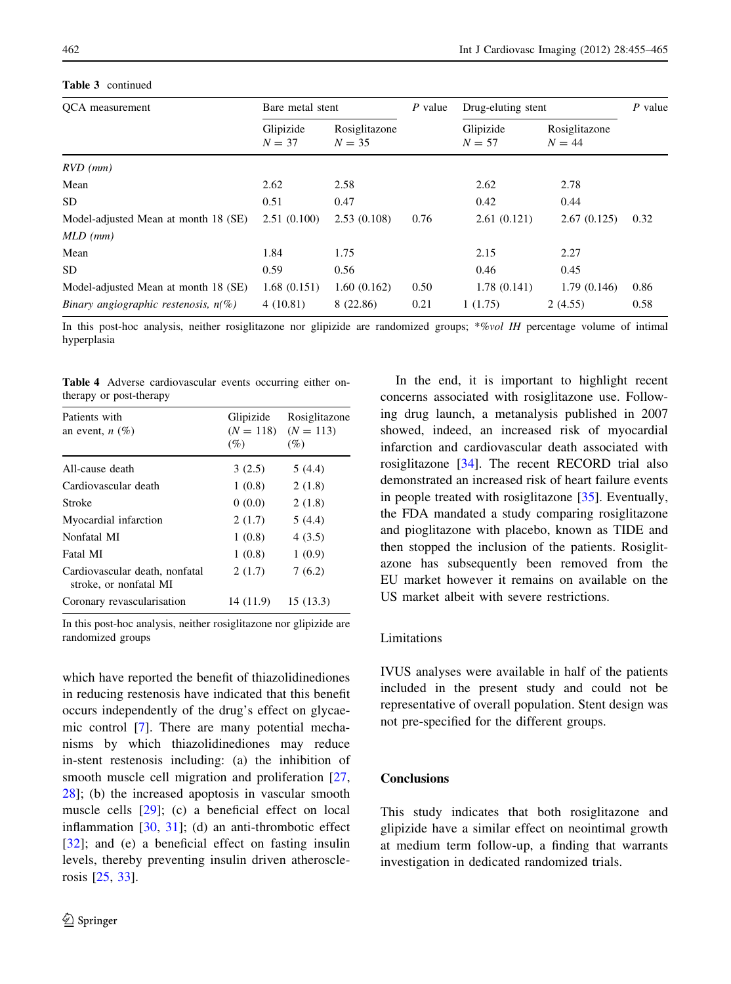## <span id="page-7-0"></span>Table 3 continued

| QCA measurement                         | Bare metal stent      |                           | $P$ value | Drug-eluting stent    |                           | $P$ value |
|-----------------------------------------|-----------------------|---------------------------|-----------|-----------------------|---------------------------|-----------|
|                                         | Glipizide<br>$N = 37$ | Rosiglitazone<br>$N = 35$ |           | Glipizide<br>$N = 57$ | Rosiglitazone<br>$N = 44$ |           |
| $RVD$ (mm)                              |                       |                           |           |                       |                           |           |
| Mean                                    | 2.62                  | 2.58                      |           | 2.62                  | 2.78                      |           |
| SD.                                     | 0.51                  | 0.47                      |           | 0.42                  | 0.44                      |           |
| Model-adjusted Mean at month 18 (SE)    | 2.51(0.100)           | 2.53(0.108)               | 0.76      | 2.61(0.121)           | 2.67(0.125)               | 0.32      |
| $MLD$ (mm)                              |                       |                           |           |                       |                           |           |
| Mean                                    | 1.84                  | 1.75                      |           | 2.15                  | 2.27                      |           |
| SD.                                     | 0.59                  | 0.56                      |           | 0.46                  | 0.45                      |           |
| Model-adjusted Mean at month 18 (SE)    | 1.68(0.151)           | 1.60(0.162)               | 0.50      | 1.78(0.141)           | 1.79(0.146)               | 0.86      |
| Binary angiographic restenosis, $n(\%)$ | 4(10.81)              | 8 (22.86)                 | 0.21      | 1(1.75)               | 2(4.55)                   | 0.58      |

In this post-hoc analysis, neither rosiglitazone nor glipizide are randomized groups; \*%vol IH percentage volume of intimal hyperplasia

Table 4 Adverse cardiovascular events occurring either ontherapy or post-therapy

| Patients with<br>an event, $n(\%)$                       | Glipizide<br>$(N = 118)$<br>(%) | Rosiglitazone<br>$(N = 113)$<br>(%) |
|----------------------------------------------------------|---------------------------------|-------------------------------------|
| All-cause death                                          | 3(2.5)                          | 5(4.4)                              |
| Cardiovascular death                                     | 1(0.8)                          | 2(1.8)                              |
| Stroke                                                   | 0(0.0)                          | 2(1.8)                              |
| Myocardial infarction                                    | 2(1.7)                          | 5(4.4)                              |
| Nonfatal MI                                              | 1(0.8)                          | 4(3.5)                              |
| Fatal MI                                                 | 1(0.8)                          | 1(0.9)                              |
| Cardiovascular death, nonfatal<br>stroke, or nonfatal MI | 2(1.7)                          | 7(6.2)                              |
| Coronary revascularisation                               | 14 (11.9)                       | 15(13.3)                            |

In this post-hoc analysis, neither rosiglitazone nor glipizide are randomized groups

which have reported the benefit of thiazolidinediones in reducing restenosis have indicated that this benefit occurs independently of the drug's effect on glycaemic control [[7\]](#page-8-0). There are many potential mechanisms by which thiazolidinediones may reduce in-stent restenosis including: (a) the inhibition of smooth muscle cell migration and proliferation [[27,](#page-9-0) [28\]](#page-9-0); (b) the increased apoptosis in vascular smooth muscle cells [\[29](#page-9-0)]; (c) a beneficial effect on local inflammation [\[30](#page-9-0), [31\]](#page-9-0); (d) an anti-thrombotic effect [\[32](#page-10-0)]; and (e) a beneficial effect on fasting insulin levels, thereby preventing insulin driven atherosclerosis [\[25](#page-9-0), [33](#page-10-0)].

In the end, it is important to highlight recent concerns associated with rosiglitazone use. Following drug launch, a metanalysis published in 2007 showed, indeed, an increased risk of myocardial infarction and cardiovascular death associated with rosiglitazone [\[34](#page-10-0)]. The recent RECORD trial also demonstrated an increased risk of heart failure events in people treated with rosiglitazone [\[35](#page-10-0)]. Eventually, the FDA mandated a study comparing rosiglitazone and pioglitazone with placebo, known as TIDE and then stopped the inclusion of the patients. Rosiglitazone has subsequently been removed from the EU market however it remains on available on the US market albeit with severe restrictions.

## Limitations

IVUS analyses were available in half of the patients included in the present study and could not be representative of overall population. Stent design was not pre-specified for the different groups.

# Conclusions

This study indicates that both rosiglitazone and glipizide have a similar effect on neointimal growth at medium term follow-up, a finding that warrants investigation in dedicated randomized trials.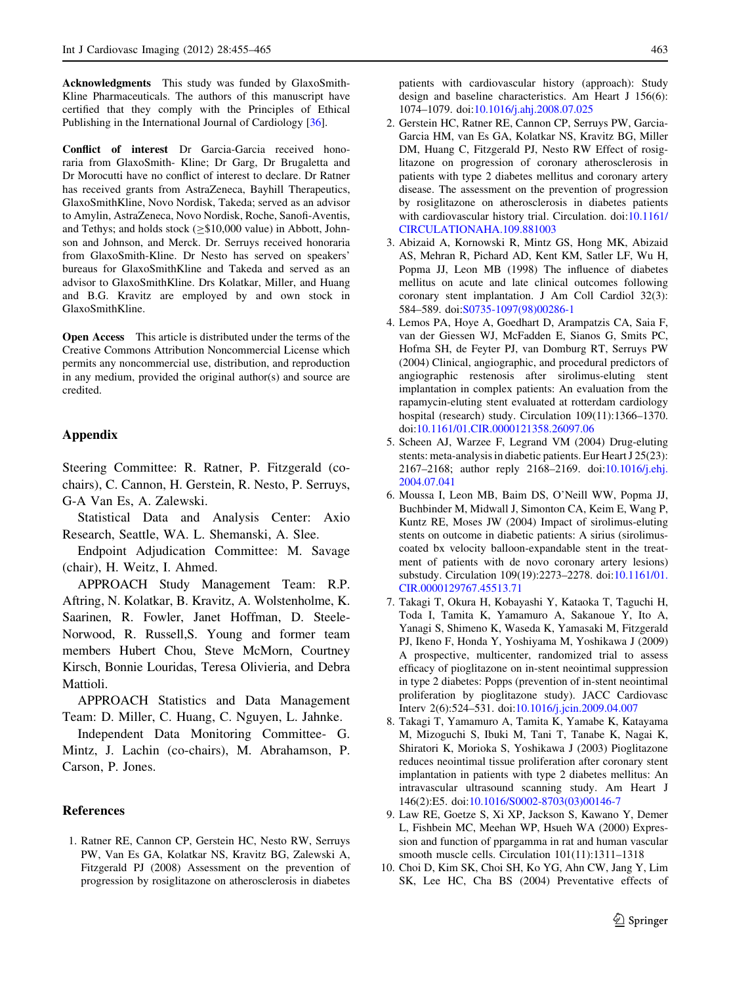<span id="page-8-0"></span>Acknowledgments This study was funded by GlaxoSmith-Kline Pharmaceuticals. The authors of this manuscript have certified that they comply with the Principles of Ethical Publishing in the International Journal of Cardiology [\[36](#page-10-0)].

Conflict of interest Dr Garcia-Garcia received honoraria from GlaxoSmith- Kline; Dr Garg, Dr Brugaletta and Dr Morocutti have no conflict of interest to declare. Dr Ratner has received grants from AstraZeneca, Bayhill Therapeutics, GlaxoSmithKline, Novo Nordisk, Takeda; served as an advisor to Amylin, AstraZeneca, Novo Nordisk, Roche, Sanofi-Aventis, and Tethys; and holds stock ( $\geq$ \$10,000 value) in Abbott, Johnson and Johnson, and Merck. Dr. Serruys received honoraria from GlaxoSmith-Kline. Dr Nesto has served on speakers' bureaus for GlaxoSmithKline and Takeda and served as an advisor to GlaxoSmithKline. Drs Kolatkar, Miller, and Huang and B.G. Kravitz are employed by and own stock in GlaxoSmithKline.

Open Access This article is distributed under the terms of the Creative Commons Attribution Noncommercial License which permits any noncommercial use, distribution, and reproduction in any medium, provided the original author(s) and source are credited.

## Appendix

Steering Committee: R. Ratner, P. Fitzgerald (cochairs), C. Cannon, H. Gerstein, R. Nesto, P. Serruys, G-A Van Es, A. Zalewski.

Statistical Data and Analysis Center: Axio Research, Seattle, WA. L. Shemanski, A. Slee.

Endpoint Adjudication Committee: M. Savage (chair), H. Weitz, I. Ahmed.

APPROACH Study Management Team: R.P. Aftring, N. Kolatkar, B. Kravitz, A. Wolstenholme, K. Saarinen, R. Fowler, Janet Hoffman, D. Steele-Norwood, R. Russell,S. Young and former team members Hubert Chou, Steve McMorn, Courtney Kirsch, Bonnie Louridas, Teresa Olivieria, and Debra Mattioli.

APPROACH Statistics and Data Management Team: D. Miller, C. Huang, C. Nguyen, L. Jahnke.

Independent Data Monitoring Committee- G. Mintz, J. Lachin (co-chairs), M. Abrahamson, P. Carson, P. Jones.

### References

1. Ratner RE, Cannon CP, Gerstein HC, Nesto RW, Serruys PW, Van Es GA, Kolatkar NS, Kravitz BG, Zalewski A, Fitzgerald PJ (2008) Assessment on the prevention of progression by rosiglitazone on atherosclerosis in diabetes patients with cardiovascular history (approach): Study design and baseline characteristics. Am Heart J 156(6): 1074–1079. doi[:10.1016/j.ahj.2008.07.025](http://dx.doi.org/10.1016/j.ahj.2008.07.025)

- 2. Gerstein HC, Ratner RE, Cannon CP, Serruys PW, Garcia-Garcia HM, van Es GA, Kolatkar NS, Kravitz BG, Miller DM, Huang C, Fitzgerald PJ, Nesto RW Effect of rosiglitazone on progression of coronary atherosclerosis in patients with type 2 diabetes mellitus and coronary artery disease. The assessment on the prevention of progression by rosiglitazone on atherosclerosis in diabetes patients with cardiovascular history trial. Circulation. doi[:10.1161/](http://dx.doi.org/10.1161/CIRCULATIONAHA.109.881003) [CIRCULATIONAHA.109.881003](http://dx.doi.org/10.1161/CIRCULATIONAHA.109.881003)
- 3. Abizaid A, Kornowski R, Mintz GS, Hong MK, Abizaid AS, Mehran R, Pichard AD, Kent KM, Satler LF, Wu H, Popma JJ, Leon MB (1998) The influence of diabetes mellitus on acute and late clinical outcomes following coronary stent implantation. J Am Coll Cardiol 32(3): 584–589. doi:[S0735-1097\(98\)00286-1](http://dx.doi.org/S0735-1097(98)00286-1)
- 4. Lemos PA, Hoye A, Goedhart D, Arampatzis CA, Saia F, van der Giessen WJ, McFadden E, Sianos G, Smits PC, Hofma SH, de Feyter PJ, van Domburg RT, Serruys PW (2004) Clinical, angiographic, and procedural predictors of angiographic restenosis after sirolimus-eluting stent implantation in complex patients: An evaluation from the rapamycin-eluting stent evaluated at rotterdam cardiology hospital (research) study. Circulation 109(11):1366–1370. doi:[10.1161/01.CIR.0000121358.26097.06](http://dx.doi.org/10.1161/01.CIR.0000121358.26097.06)
- 5. Scheen AJ, Warzee F, Legrand VM (2004) Drug-eluting stents: meta-analysis in diabetic patients. Eur Heart J 25(23): 2167–2168; author reply 2168–2169. doi[:10.1016/j.ehj.](http://dx.doi.org/10.1016/j.ehj.2004.07.041) [2004.07.041](http://dx.doi.org/10.1016/j.ehj.2004.07.041)
- 6. Moussa I, Leon MB, Baim DS, O'Neill WW, Popma JJ, Buchbinder M, Midwall J, Simonton CA, Keim E, Wang P, Kuntz RE, Moses JW (2004) Impact of sirolimus-eluting stents on outcome in diabetic patients: A sirius (sirolimuscoated bx velocity balloon-expandable stent in the treatment of patients with de novo coronary artery lesions) substudy. Circulation 109(19):2273–2278. doi:[10.1161/01.](http://dx.doi.org/10.1161/01.CIR.0000129767.45513.71) [CIR.0000129767.45513.71](http://dx.doi.org/10.1161/01.CIR.0000129767.45513.71)
- 7. Takagi T, Okura H, Kobayashi Y, Kataoka T, Taguchi H, Toda I, Tamita K, Yamamuro A, Sakanoue Y, Ito A, Yanagi S, Shimeno K, Waseda K, Yamasaki M, Fitzgerald PJ, Ikeno F, Honda Y, Yoshiyama M, Yoshikawa J (2009) A prospective, multicenter, randomized trial to assess efficacy of pioglitazone on in-stent neointimal suppression in type 2 diabetes: Popps (prevention of in-stent neointimal proliferation by pioglitazone study). JACC Cardiovasc Interv 2(6):524–531. doi[:10.1016/j.jcin.2009.04.007](http://dx.doi.org/10.1016/j.jcin.2009.04.007)
- 8. Takagi T, Yamamuro A, Tamita K, Yamabe K, Katayama M, Mizoguchi S, Ibuki M, Tani T, Tanabe K, Nagai K, Shiratori K, Morioka S, Yoshikawa J (2003) Pioglitazone reduces neointimal tissue proliferation after coronary stent implantation in patients with type 2 diabetes mellitus: An intravascular ultrasound scanning study. Am Heart J 146(2):E5. doi[:10.1016/S0002-8703\(03\)00146-7](http://dx.doi.org/10.1016/S0002-8703(03)00146-7)
- 9. Law RE, Goetze S, Xi XP, Jackson S, Kawano Y, Demer L, Fishbein MC, Meehan WP, Hsueh WA (2000) Expression and function of ppargamma in rat and human vascular smooth muscle cells. Circulation 101(11):1311–1318
- 10. Choi D, Kim SK, Choi SH, Ko YG, Ahn CW, Jang Y, Lim SK, Lee HC, Cha BS (2004) Preventative effects of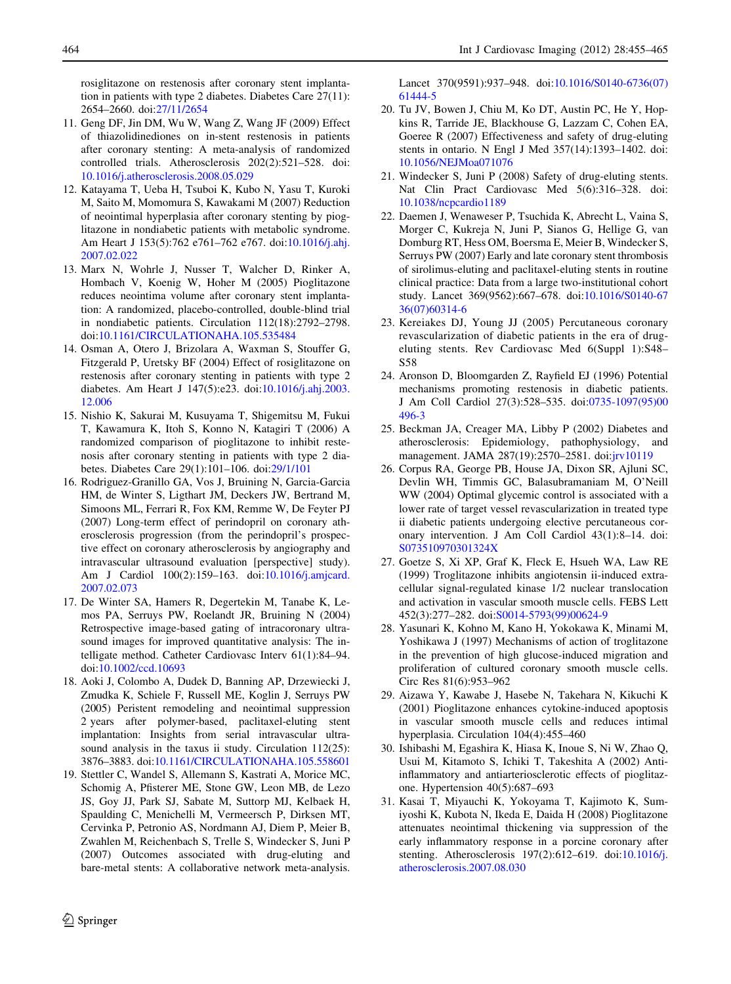<span id="page-9-0"></span>rosiglitazone on restenosis after coronary stent implantation in patients with type 2 diabetes. Diabetes Care 27(11): 2654–2660. doi:[27/11/2654](http://dx.doi.org/27/11/2654)

- 11. Geng DF, Jin DM, Wu W, Wang Z, Wang JF (2009) Effect of thiazolidinediones on in-stent restenosis in patients after coronary stenting: A meta-analysis of randomized controlled trials. Atherosclerosis 202(2):521–528. doi: [10.1016/j.atherosclerosis.2008.05.029](http://dx.doi.org/10.1016/j.atherosclerosis.2008.05.029)
- 12. Katayama T, Ueba H, Tsuboi K, Kubo N, Yasu T, Kuroki M, Saito M, Momomura S, Kawakami M (2007) Reduction of neointimal hyperplasia after coronary stenting by pioglitazone in nondiabetic patients with metabolic syndrome. Am Heart J 153(5):762 e761–762 e767. doi[:10.1016/j.ahj.](http://dx.doi.org/10.1016/j.ahj.2007.02.022) [2007.02.022](http://dx.doi.org/10.1016/j.ahj.2007.02.022)
- 13. Marx N, Wohrle J, Nusser T, Walcher D, Rinker A, Hombach V, Koenig W, Hoher M (2005) Pioglitazone reduces neointima volume after coronary stent implantation: A randomized, placebo-controlled, double-blind trial in nondiabetic patients. Circulation 112(18):2792–2798. doi:[10.1161/CIRCULATIONAHA.105.535484](http://dx.doi.org/10.1161/CIRCULATIONAHA.105.535484)
- 14. Osman A, Otero J, Brizolara A, Waxman S, Stouffer G, Fitzgerald P, Uretsky BF (2004) Effect of rosiglitazone on restenosis after coronary stenting in patients with type 2 diabetes. Am Heart J 147(5):e23. doi[:10.1016/j.ahj.2003.](http://dx.doi.org/10.1016/j.ahj.2003.12.006) [12.006](http://dx.doi.org/10.1016/j.ahj.2003.12.006)
- 15. Nishio K, Sakurai M, Kusuyama T, Shigemitsu M, Fukui T, Kawamura K, Itoh S, Konno N, Katagiri T (2006) A randomized comparison of pioglitazone to inhibit restenosis after coronary stenting in patients with type 2 diabetes. Diabetes Care 29(1):101–106. doi[:29/1/101](http://dx.doi.org/29/1/101)
- 16. Rodriguez-Granillo GA, Vos J, Bruining N, Garcia-Garcia HM, de Winter S, Ligthart JM, Deckers JW, Bertrand M, Simoons ML, Ferrari R, Fox KM, Remme W, De Feyter PJ (2007) Long-term effect of perindopril on coronary atherosclerosis progression (from the perindopril's prospective effect on coronary atherosclerosis by angiography and intravascular ultrasound evaluation [perspective] study). Am J Cardiol 100(2):159–163. doi[:10.1016/j.amjcard.](http://dx.doi.org/10.1016/j.amjcard.2007.02.073) [2007.02.073](http://dx.doi.org/10.1016/j.amjcard.2007.02.073)
- 17. De Winter SA, Hamers R, Degertekin M, Tanabe K, Lemos PA, Serruys PW, Roelandt JR, Bruining N (2004) Retrospective image-based gating of intracoronary ultrasound images for improved quantitative analysis: The intelligate method. Catheter Cardiovasc Interv 61(1):84–94. doi:[10.1002/ccd.10693](http://dx.doi.org/10.1002/ccd.10693)
- 18. Aoki J, Colombo A, Dudek D, Banning AP, Drzewiecki J, Zmudka K, Schiele F, Russell ME, Koglin J, Serruys PW (2005) Peristent remodeling and neointimal suppression 2 years after polymer-based, paclitaxel-eluting stent implantation: Insights from serial intravascular ultrasound analysis in the taxus ii study. Circulation 112(25): 3876–3883. doi:[10.1161/CIRCULATIONAHA.105.558601](http://dx.doi.org/10.1161/CIRCULATIONAHA.105.558601)
- 19. Stettler C, Wandel S, Allemann S, Kastrati A, Morice MC, Schomig A, Pfisterer ME, Stone GW, Leon MB, de Lezo JS, Goy JJ, Park SJ, Sabate M, Suttorp MJ, Kelbaek H, Spaulding C, Menichelli M, Vermeersch P, Dirksen MT, Cervinka P, Petronio AS, Nordmann AJ, Diem P, Meier B, Zwahlen M, Reichenbach S, Trelle S, Windecker S, Juni P (2007) Outcomes associated with drug-eluting and bare-metal stents: A collaborative network meta-analysis.

Lancet 370(9591):937–948. doi:[10.1016/S0140-6736\(07\)](http://dx.doi.org/10.1016/S0140-6736(07)61444-5) [61444-5](http://dx.doi.org/10.1016/S0140-6736(07)61444-5)

- 20. Tu JV, Bowen J, Chiu M, Ko DT, Austin PC, He Y, Hopkins R, Tarride JE, Blackhouse G, Lazzam C, Cohen EA, Goeree R (2007) Effectiveness and safety of drug-eluting stents in ontario. N Engl J Med 357(14):1393–1402. doi: [10.1056/NEJMoa071076](http://dx.doi.org/10.1056/NEJMoa071076)
- 21. Windecker S, Juni P (2008) Safety of drug-eluting stents. Nat Clin Pract Cardiovasc Med 5(6):316–328. doi: [10.1038/ncpcardio1189](http://dx.doi.org/10.1038/ncpcardio1189)
- 22. Daemen J, Wenaweser P, Tsuchida K, Abrecht L, Vaina S, Morger C, Kukreja N, Juni P, Sianos G, Hellige G, van Domburg RT, Hess OM, Boersma E, Meier B, Windecker S, Serruys PW (2007) Early and late coronary stent thrombosis of sirolimus-eluting and paclitaxel-eluting stents in routine clinical practice: Data from a large two-institutional cohort study. Lancet 369(9562):667–678. doi[:10.1016/S0140-67](http://dx.doi.org/10.1016/S0140-6736(07)60314-6) [36\(07\)60314-6](http://dx.doi.org/10.1016/S0140-6736(07)60314-6)
- 23. Kereiakes DJ, Young JJ (2005) Percutaneous coronary revascularization of diabetic patients in the era of drugeluting stents. Rev Cardiovasc Med 6(Suppl 1):S48– S58
- 24. Aronson D, Bloomgarden Z, Rayfield EJ (1996) Potential mechanisms promoting restenosis in diabetic patients. J Am Coll Cardiol 27(3):528–535. doi[:0735-1097\(95\)00](http://dx.doi.org/0735-1097(95)00496-3) [496-3](http://dx.doi.org/0735-1097(95)00496-3)
- 25. Beckman JA, Creager MA, Libby P (2002) Diabetes and atherosclerosis: Epidemiology, pathophysiology, and management. JAMA 287(19):2570–2581. doi[:jrv10119](http://dx.doi.org/jrv10119)
- 26. Corpus RA, George PB, House JA, Dixon SR, Ajluni SC, Devlin WH, Timmis GC, Balasubramaniam M, O'Neill WW (2004) Optimal glycemic control is associated with a lower rate of target vessel revascularization in treated type ii diabetic patients undergoing elective percutaneous coronary intervention. J Am Coll Cardiol 43(1):8–14. doi: [S073510970301324X](http://dx.doi.org/S073510970301324X)
- 27. Goetze S, Xi XP, Graf K, Fleck E, Hsueh WA, Law RE (1999) Troglitazone inhibits angiotensin ii-induced extracellular signal-regulated kinase 1/2 nuclear translocation and activation in vascular smooth muscle cells. FEBS Lett 452(3):277–282. doi:[S0014-5793\(99\)00624-9](http://dx.doi.org/S0014-5793(99)00624-9)
- 28. Yasunari K, Kohno M, Kano H, Yokokawa K, Minami M, Yoshikawa J (1997) Mechanisms of action of troglitazone in the prevention of high glucose-induced migration and proliferation of cultured coronary smooth muscle cells. Circ Res 81(6):953–962
- 29. Aizawa Y, Kawabe J, Hasebe N, Takehara N, Kikuchi K (2001) Pioglitazone enhances cytokine-induced apoptosis in vascular smooth muscle cells and reduces intimal hyperplasia. Circulation 104(4):455–460
- 30. Ishibashi M, Egashira K, Hiasa K, Inoue S, Ni W, Zhao Q, Usui M, Kitamoto S, Ichiki T, Takeshita A (2002) Antiinflammatory and antiarteriosclerotic effects of pioglitazone. Hypertension 40(5):687–693
- 31. Kasai T, Miyauchi K, Yokoyama T, Kajimoto K, Sumiyoshi K, Kubota N, Ikeda E, Daida H (2008) Pioglitazone attenuates neointimal thickening via suppression of the early inflammatory response in a porcine coronary after stenting. Atherosclerosis 197(2):612–619. doi:[10.1016/j.](http://dx.doi.org/10.1016/j.atherosclerosis.2007.08.030) [atherosclerosis.2007.08.030](http://dx.doi.org/10.1016/j.atherosclerosis.2007.08.030)